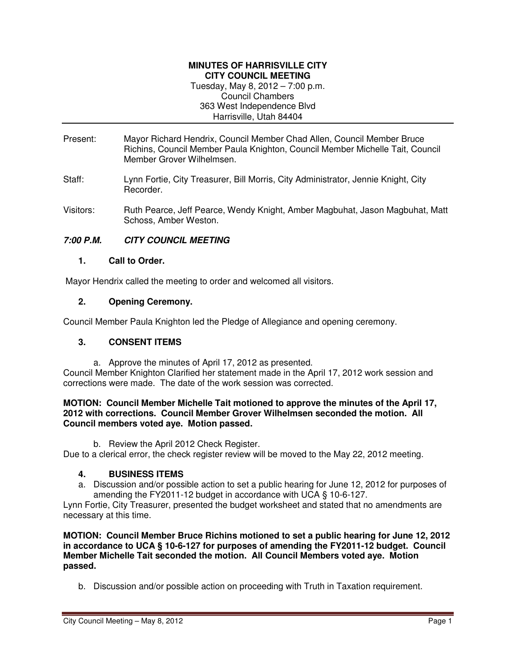#### **MINUTES OF HARRISVILLE CITY CITY COUNCIL MEETING**

Tuesday, May 8, 2012 – 7:00 p.m. Council Chambers 363 West Independence Blvd Harrisville, Utah 84404

- Present: Mayor Richard Hendrix, Council Member Chad Allen, Council Member Bruce Richins, Council Member Paula Knighton, Council Member Michelle Tait, Council Member Grover Wilhelmsen.
- Staff: Lynn Fortie, City Treasurer, Bill Morris, City Administrator, Jennie Knight, City Recorder.
- Visitors: Ruth Pearce, Jeff Pearce, Wendy Knight, Amber Magbuhat, Jason Magbuhat, Matt Schoss, Amber Weston.

# **7:00 P.M. CITY COUNCIL MEETING**

### **1. Call to Order.**

Mayor Hendrix called the meeting to order and welcomed all visitors.

### **2. Opening Ceremony.**

Council Member Paula Knighton led the Pledge of Allegiance and opening ceremony.

## **3. CONSENT ITEMS**

a. Approve the minutes of April 17, 2012 as presented. Council Member Knighton Clarified her statement made in the April 17, 2012 work session and corrections were made. The date of the work session was corrected.

#### **MOTION: Council Member Michelle Tait motioned to approve the minutes of the April 17, 2012 with corrections. Council Member Grover Wilhelmsen seconded the motion. All Council members voted aye. Motion passed.**

b. Review the April 2012 Check Register.

Due to a clerical error, the check register review will be moved to the May 22, 2012 meeting.

## **4. BUSINESS ITEMS**

a. Discussion and/or possible action to set a public hearing for June 12, 2012 for purposes of amending the FY2011-12 budget in accordance with UCA § 10-6-127.

Lynn Fortie, City Treasurer, presented the budget worksheet and stated that no amendments are necessary at this time.

**MOTION: Council Member Bruce Richins motioned to set a public hearing for June 12, 2012 in accordance to UCA § 10-6-127 for purposes of amending the FY2011-12 budget. Council Member Michelle Tait seconded the motion. All Council Members voted aye. Motion passed.** 

b. Discussion and/or possible action on proceeding with Truth in Taxation requirement.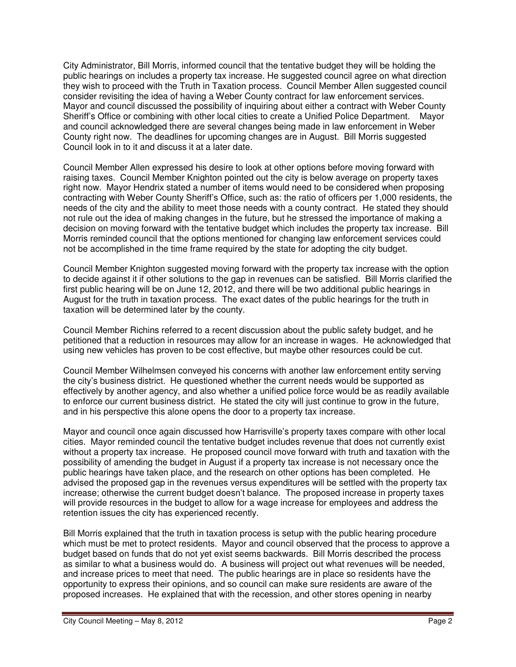City Administrator, Bill Morris, informed council that the tentative budget they will be holding the public hearings on includes a property tax increase. He suggested council agree on what direction they wish to proceed with the Truth in Taxation process. Council Member Allen suggested council consider revisiting the idea of having a Weber County contract for law enforcement services. Mayor and council discussed the possibility of inquiring about either a contract with Weber County Sheriff's Office or combining with other local cities to create a Unified Police Department. Mayor and council acknowledged there are several changes being made in law enforcement in Weber County right now. The deadlines for upcoming changes are in August. Bill Morris suggested Council look in to it and discuss it at a later date.

Council Member Allen expressed his desire to look at other options before moving forward with raising taxes. Council Member Knighton pointed out the city is below average on property taxes right now. Mayor Hendrix stated a number of items would need to be considered when proposing contracting with Weber County Sheriff's Office, such as: the ratio of officers per 1,000 residents, the needs of the city and the ability to meet those needs with a county contract. He stated they should not rule out the idea of making changes in the future, but he stressed the importance of making a decision on moving forward with the tentative budget which includes the property tax increase. Bill Morris reminded council that the options mentioned for changing law enforcement services could not be accomplished in the time frame required by the state for adopting the city budget.

Council Member Knighton suggested moving forward with the property tax increase with the option to decide against it if other solutions to the gap in revenues can be satisfied. Bill Morris clarified the first public hearing will be on June 12, 2012, and there will be two additional public hearings in August for the truth in taxation process. The exact dates of the public hearings for the truth in taxation will be determined later by the county.

Council Member Richins referred to a recent discussion about the public safety budget, and he petitioned that a reduction in resources may allow for an increase in wages. He acknowledged that using new vehicles has proven to be cost effective, but maybe other resources could be cut.

Council Member Wilhelmsen conveyed his concerns with another law enforcement entity serving the city's business district. He questioned whether the current needs would be supported as effectively by another agency, and also whether a unified police force would be as readily available to enforce our current business district. He stated the city will just continue to grow in the future, and in his perspective this alone opens the door to a property tax increase.

Mayor and council once again discussed how Harrisville's property taxes compare with other local cities. Mayor reminded council the tentative budget includes revenue that does not currently exist without a property tax increase. He proposed council move forward with truth and taxation with the possibility of amending the budget in August if a property tax increase is not necessary once the public hearings have taken place, and the research on other options has been completed. He advised the proposed gap in the revenues versus expenditures will be settled with the property tax increase; otherwise the current budget doesn't balance. The proposed increase in property taxes will provide resources in the budget to allow for a wage increase for employees and address the retention issues the city has experienced recently.

Bill Morris explained that the truth in taxation process is setup with the public hearing procedure which must be met to protect residents. Mayor and council observed that the process to approve a budget based on funds that do not yet exist seems backwards. Bill Morris described the process as similar to what a business would do. A business will project out what revenues will be needed, and increase prices to meet that need. The public hearings are in place so residents have the opportunity to express their opinions, and so council can make sure residents are aware of the proposed increases. He explained that with the recession, and other stores opening in nearby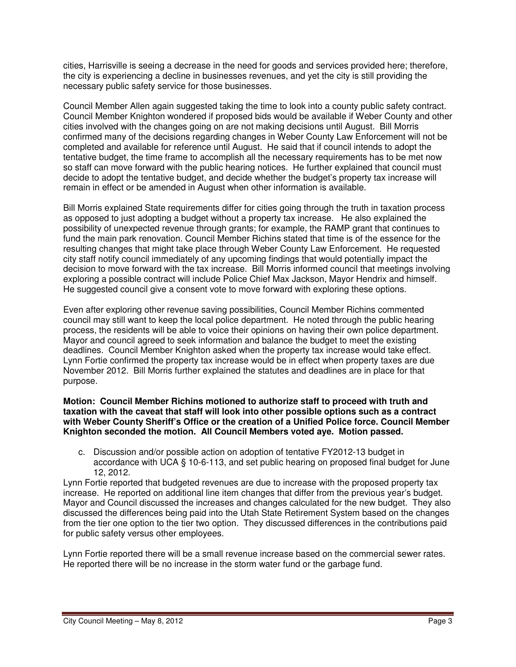cities, Harrisville is seeing a decrease in the need for goods and services provided here; therefore, the city is experiencing a decline in businesses revenues, and yet the city is still providing the necessary public safety service for those businesses.

Council Member Allen again suggested taking the time to look into a county public safety contract. Council Member Knighton wondered if proposed bids would be available if Weber County and other cities involved with the changes going on are not making decisions until August. Bill Morris confirmed many of the decisions regarding changes in Weber County Law Enforcement will not be completed and available for reference until August. He said that if council intends to adopt the tentative budget, the time frame to accomplish all the necessary requirements has to be met now so staff can move forward with the public hearing notices. He further explained that council must decide to adopt the tentative budget, and decide whether the budget's property tax increase will remain in effect or be amended in August when other information is available.

Bill Morris explained State requirements differ for cities going through the truth in taxation process as opposed to just adopting a budget without a property tax increase. He also explained the possibility of unexpected revenue through grants; for example, the RAMP grant that continues to fund the main park renovation. Council Member Richins stated that time is of the essence for the resulting changes that might take place through Weber County Law Enforcement. He requested city staff notify council immediately of any upcoming findings that would potentially impact the decision to move forward with the tax increase. Bill Morris informed council that meetings involving exploring a possible contract will include Police Chief Max Jackson, Mayor Hendrix and himself. He suggested council give a consent vote to move forward with exploring these options.

Even after exploring other revenue saving possibilities, Council Member Richins commented council may still want to keep the local police department. He noted through the public hearing process, the residents will be able to voice their opinions on having their own police department. Mayor and council agreed to seek information and balance the budget to meet the existing deadlines. Council Member Knighton asked when the property tax increase would take effect. Lynn Fortie confirmed the property tax increase would be in effect when property taxes are due November 2012. Bill Morris further explained the statutes and deadlines are in place for that purpose.

#### **Motion: Council Member Richins motioned to authorize staff to proceed with truth and taxation with the caveat that staff will look into other possible options such as a contract with Weber County Sheriff's Office or the creation of a Unified Police force. Council Member Knighton seconded the motion. All Council Members voted aye. Motion passed.**

c. Discussion and/or possible action on adoption of tentative FY2012-13 budget in accordance with UCA § 10-6-113, and set public hearing on proposed final budget for June 12, 2012.

Lynn Fortie reported that budgeted revenues are due to increase with the proposed property tax increase. He reported on additional line item changes that differ from the previous year's budget. Mayor and Council discussed the increases and changes calculated for the new budget. They also discussed the differences being paid into the Utah State Retirement System based on the changes from the tier one option to the tier two option. They discussed differences in the contributions paid for public safety versus other employees.

Lynn Fortie reported there will be a small revenue increase based on the commercial sewer rates. He reported there will be no increase in the storm water fund or the garbage fund.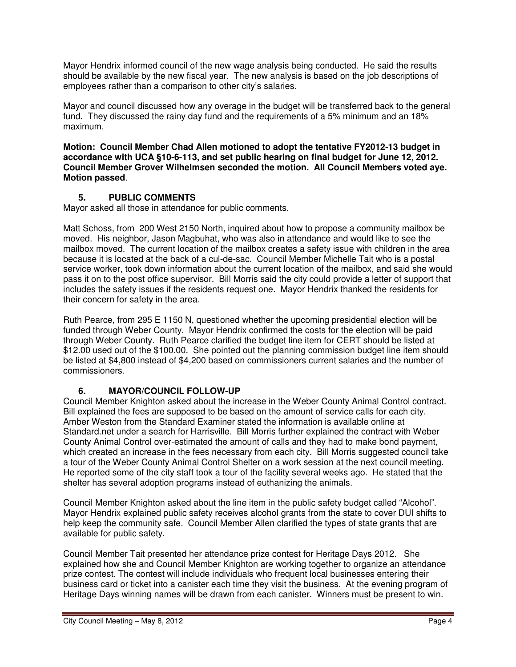Mayor Hendrix informed council of the new wage analysis being conducted. He said the results should be available by the new fiscal year. The new analysis is based on the job descriptions of employees rather than a comparison to other city's salaries.

Mayor and council discussed how any overage in the budget will be transferred back to the general fund. They discussed the rainy day fund and the requirements of a 5% minimum and an 18% maximum.

**Motion: Council Member Chad Allen motioned to adopt the tentative FY2012-13 budget in accordance with UCA §10-6-113, and set public hearing on final budget for June 12, 2012. Council Member Grover Wilhelmsen seconded the motion. All Council Members voted aye. Motion passed**.

## **5. PUBLIC COMMENTS**

Mayor asked all those in attendance for public comments.

Matt Schoss, from 200 West 2150 North, inquired about how to propose a community mailbox be moved. His neighbor, Jason Magbuhat, who was also in attendance and would like to see the mailbox moved. The current location of the mailbox creates a safety issue with children in the area because it is located at the back of a cul-de-sac. Council Member Michelle Tait who is a postal service worker, took down information about the current location of the mailbox, and said she would pass it on to the post office supervisor. Bill Morris said the city could provide a letter of support that includes the safety issues if the residents request one. Mayor Hendrix thanked the residents for their concern for safety in the area.

Ruth Pearce, from 295 E 1150 N, questioned whether the upcoming presidential election will be funded through Weber County. Mayor Hendrix confirmed the costs for the election will be paid through Weber County. Ruth Pearce clarified the budget line item for CERT should be listed at \$12.00 used out of the \$100.00. She pointed out the planning commission budget line item should be listed at \$4,800 instead of \$4,200 based on commissioners current salaries and the number of commissioners.

# **6. MAYOR/COUNCIL FOLLOW-UP**

Council Member Knighton asked about the increase in the Weber County Animal Control contract. Bill explained the fees are supposed to be based on the amount of service calls for each city. Amber Weston from the Standard Examiner stated the information is available online at Standard.net under a search for Harrisville. Bill Morris further explained the contract with Weber County Animal Control over-estimated the amount of calls and they had to make bond payment, which created an increase in the fees necessary from each city. Bill Morris suggested council take a tour of the Weber County Animal Control Shelter on a work session at the next council meeting. He reported some of the city staff took a tour of the facility several weeks ago. He stated that the shelter has several adoption programs instead of euthanizing the animals.

Council Member Knighton asked about the line item in the public safety budget called "Alcohol". Mayor Hendrix explained public safety receives alcohol grants from the state to cover DUI shifts to help keep the community safe. Council Member Allen clarified the types of state grants that are available for public safety.

Council Member Tait presented her attendance prize contest for Heritage Days 2012. She explained how she and Council Member Knighton are working together to organize an attendance prize contest. The contest will include individuals who frequent local businesses entering their business card or ticket into a canister each time they visit the business. At the evening program of Heritage Days winning names will be drawn from each canister. Winners must be present to win.